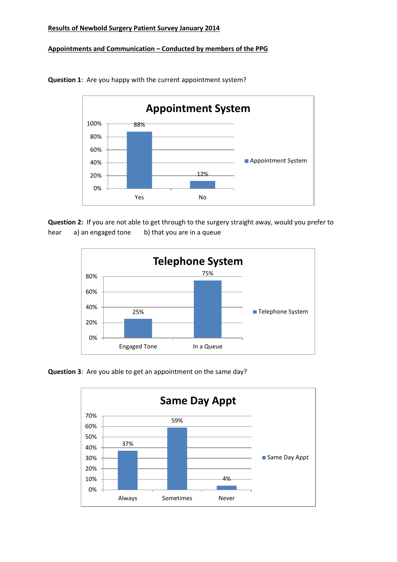## **Results of Newbold Surgery Patient Survey January 2014**

## **Appointments and Communication – Conducted by members of the PPG**



**Question 1**: Are you happy with the current appointment system?

**Question 2:** If you are not able to get through to the surgery straight away, would you prefer to hear a) an engaged tone b) that you are in a queue





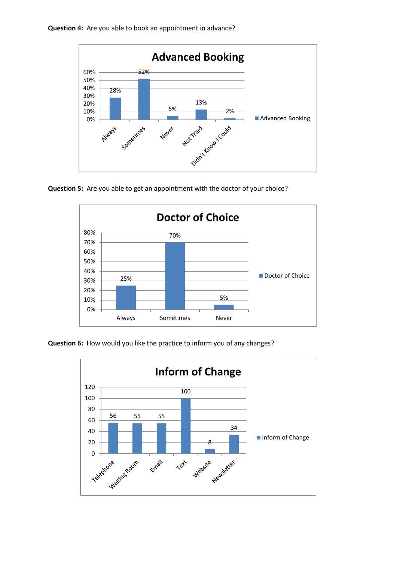

**Question 5:** Are you able to get an appointment with the doctor of your choice?



**Question 6:** How would you like the practice to inform you of any changes?